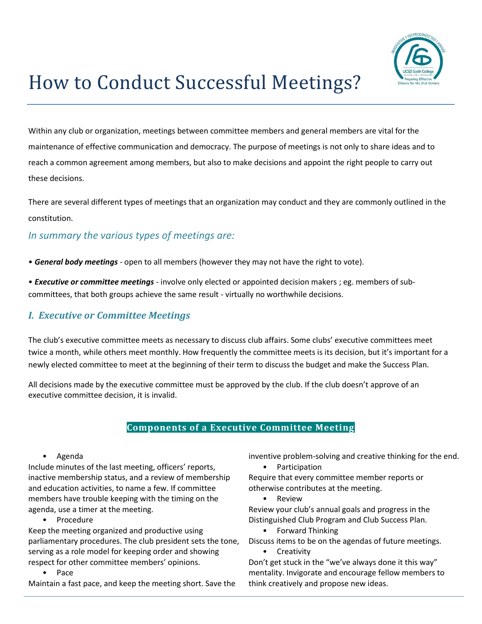

# How to Conduct Successful Meetings?

Within any club or organization, meetings between committee members and general members are vital for the maintenance of effective communication and democracy. The purpose of meetings is not only to share ideas and to reach a common agreement among members, but also to make decisions and appoint the right people to carry out these decisions.

There are several different types of meetings that an organization may conduct and they are commonly outlined in the constitution.

# *In summary the various types of meetings are:*

• *General body meetings* - open to all members (however they may not have the right to vote).

• *Executive or committee meetings* - involve only elected or appointed decision makers ; eg. members of subcommittees, that both groups achieve the same result - virtually no worthwhile decisions.

# *I. Executive or Committee Meetings*

The club's executive committee meets as necessary to discuss club affairs. Some clubs' executive committees meet twice a month, while others meet monthly. How frequently the committee meets is its decision, but it's important for a newly elected committee to meet at the beginning of their term to discuss the budget and make the Success Plan.

All decisions made by the executive committee must be approved by the club. If the club doesn't approve of an executive committee decision, it is invalid.

### **Components of a Executive Committee Meeting**

#### • Agenda

Include minutes of the last meeting, officers' reports, inactive membership status, and a review of membership and education activities, to name a few. If committee members have trouble keeping with the timing on the agenda, use a timer at the meeting.

**Procedure** 

Keep the meeting organized and productive using parliamentary procedures. The club president sets the tone, serving as a role model for keeping order and showing respect for other committee members' opinions.

Pace

Maintain a fast pace, and keep the meeting short. Save the

inventive problem-solving and creative thinking for the end. • Participation

Require that every committee member reports or otherwise contributes at the meeting.

• Review

Review your club's annual goals and progress in the Distinguished Club Program and Club Success Plan.

- Forward Thinking
- Discuss items to be on the agendas of future meetings.
	- Creativity

Don't get stuck in the "we've always done it this way" mentality. Invigorate and encourage fellow members to think creatively and propose new ideas.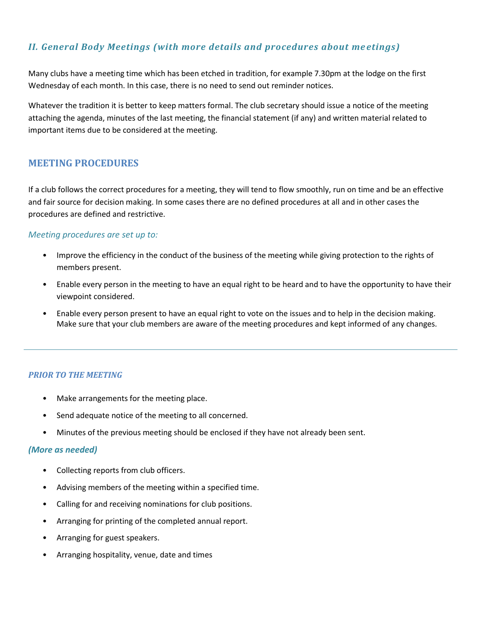## *II. General Body Meetings (with more details and procedures about me etings)*

Many clubs have a meeting time which has been etched in tradition, for example 7.30pm at the lodge on the first Wednesday of each month. In this case, there is no need to send out reminder notices.

Whatever the tradition it is better to keep matters formal. The club secretary should issue a notice of the meeting attaching the agenda, minutes of the last meeting, the financial statement (if any) and written material related to important items due to be considered at the meeting.

## **MEETING PROCEDURES**

If a club follows the correct procedures for a meeting, they will tend to flow smoothly, run on time and be an effective and fair source for decision making. In some cases there are no defined procedures at all and in other cases the procedures are defined and restrictive.

#### *Meeting procedures are set up to:*

- Improve the efficiency in the conduct of the business of the meeting while giving protection to the rights of members present.
- Enable every person in the meeting to have an equal right to be heard and to have the opportunity to have their viewpoint considered.
- Enable every person present to have an equal right to vote on the issues and to help in the decision making. Make sure that your club members are aware of the meeting procedures and kept informed of any changes.

#### *PRIOR TO THE MEETING*

- Make arrangements for the meeting place.
- Send adequate notice of the meeting to all concerned.
- Minutes of the previous meeting should be enclosed if they have not already been sent.

#### *(More as needed)*

- Collecting reports from club officers.
- Advising members of the meeting within a specified time.
- Calling for and receiving nominations for club positions.
- Arranging for printing of the completed annual report.
- Arranging for guest speakers.
- Arranging hospitality, venue, date and times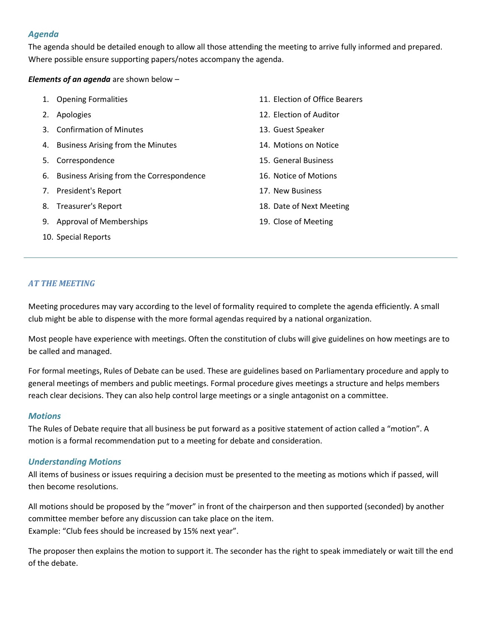#### *Agenda*

The agenda should be detailed enough to allow all those attending the meeting to arrive fully informed and prepared. Where possible ensure supporting papers/notes accompany the agenda.

#### *Elements of an agenda* are shown below –

- 1. Opening Formalities 2. Apologies 3. Confirmation of Minutes 4. Business Arising from the Minutes 12. Election of Auditor 13. Guest Speaker
- 5. Correspondence
- 6. Business Arising from the Correspondence
- 7. President's Report
- 8. Treasurer's Report
- 9. Approval of Memberships
- 10. Special Reports
- 11. Election of Office Bearers
- 14. Motions on Notice
- 15. General Business
- 16. Notice of Motions
- 17. New Business
- 18. Date of Next Meeting
- 19. Close of Meeting

#### *AT THE MEETING*

Meeting procedures may vary according to the level of formality required to complete the agenda efficiently. A small club might be able to dispense with the more formal agendas required by a national organization.

Most people have experience with meetings. Often the constitution of clubs will give guidelines on how meetings are to be called and managed.

For formal meetings, Rules of Debate can be used. These are guidelines based on Parliamentary procedure and apply to general meetings of members and public meetings. Formal procedure gives meetings a structure and helps members reach clear decisions. They can also help control large meetings or a single antagonist on a committee.

#### *Motions*

The Rules of Debate require that all business be put forward as a positive statement of action called a "motion". A motion is a formal recommendation put to a meeting for debate and consideration.

#### *Understanding Motions*

All items of business or issues requiring a decision must be presented to the meeting as motions which if passed, will then become resolutions.

All motions should be proposed by the "mover" in front of the chairperson and then supported (seconded) by another committee member before any discussion can take place on the item. Example: "Club fees should be increased by 15% next year".

The proposer then explains the motion to support it. The seconder has the right to speak immediately or wait till the end of the debate.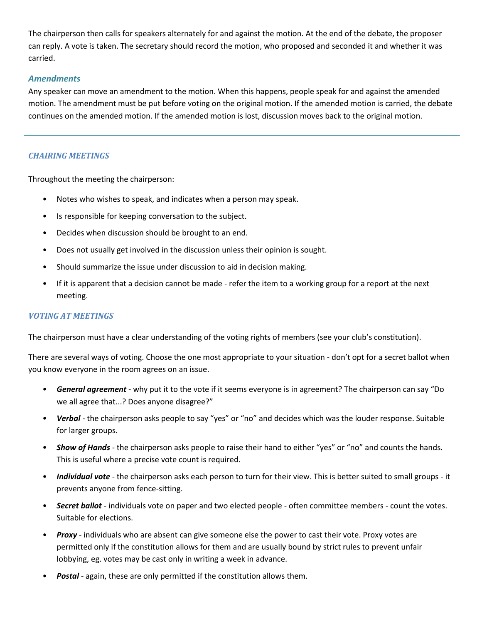The chairperson then calls for speakers alternately for and against the motion. At the end of the debate, the proposer can reply. A vote is taken. The secretary should record the motion, who proposed and seconded it and whether it was carried.

#### *Amendments*

Any speaker can move an amendment to the motion. When this happens, people speak for and against the amended motion. The amendment must be put before voting on the original motion. If the amended motion is carried, the debate continues on the amended motion. If the amended motion is lost, discussion moves back to the original motion.

#### *CHAIRING MEETINGS*

Throughout the meeting the chairperson:

- Notes who wishes to speak, and indicates when a person may speak.
- Is responsible for keeping conversation to the subject.
- Decides when discussion should be brought to an end.
- Does not usually get involved in the discussion unless their opinion is sought.
- Should summarize the issue under discussion to aid in decision making.
- If it is apparent that a decision cannot be made refer the item to a working group for a report at the next meeting.

#### *VOTING AT MEETINGS*

The chairperson must have a clear understanding of the voting rights of members (see your club's constitution).

There are several ways of voting. Choose the one most appropriate to your situation - don't opt for a secret ballot when you know everyone in the room agrees on an issue.

- *General agreement*  why put it to the vote if it seems everyone is in agreement? The chairperson can say "Do we all agree that...? Does anyone disagree?"
- *Verbal*  the chairperson asks people to say "yes" or "no" and decides which was the louder response. Suitable for larger groups.
- *Show of Hands*  the chairperson asks people to raise their hand to either "yes" or "no" and counts the hands. This is useful where a precise vote count is required.
- *Individual vote*  the chairperson asks each person to turn for their view. This is better suited to small groups it prevents anyone from fence-sitting.
- *Secret ballot*  individuals vote on paper and two elected people often committee members count the votes. Suitable for elections.
- *Proxy*  individuals who are absent can give someone else the power to cast their vote. Proxy votes are permitted only if the constitution allows for them and are usually bound by strict rules to prevent unfair lobbying, eg. votes may be cast only in writing a week in advance.
- **Postal** again, these are only permitted if the constitution allows them.